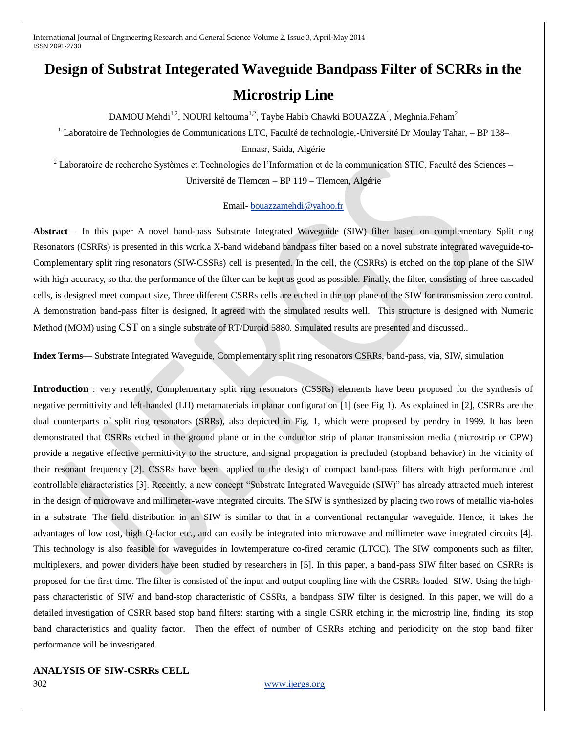# **Design of Substrat Integerated Waveguide Bandpass Filter of SCRRs in the Microstrip Line**

DAMOU Mehdi<sup>1,2</sup>, NOURI keltouma<sup>1,2</sup>, Taybe Habib Chawki BOUAZZA<sup>1</sup>, Meghnia.Feham<sup>2</sup>

 $1$  Laboratoire de Technologies de Communications LTC, Faculté de technologie,-Université Dr Moulay Tahar, – BP 138–

Ennasr, Saida, Algérie

 $2$  Laboratoire de recherche Systèmes et Technologies de l'Information et de la communication STIC, Faculté des Sciences – Université de Tlemcen – BP 119 – Tlemcen, Algérie

#### Email- [bouazzamehdi@yahoo.fr](mailto:bouazzamehdi@yahoo.fr)

**Abstract**— In this paper A novel band-pass Substrate Integrated Waveguide (SIW) filter based on complementary Split ring Resonators (CSRRs) is presented in this work.a X-band wideband bandpass filter based on a novel substrate integrated waveguide-to-Complementary split ring resonators (SIW-CSSRs) cell is presented. In the cell, the (CSRRs) is etched on the top plane of the SIW with high accuracy, so that the performance of the filter can be kept as good as possible. Finally, the filter, consisting of three cascaded cells, is designed meet compact size, Three different CSRRs cells are etched in the top plane of the SIW for transmission zero control. A demonstration band-pass filter is designed, It agreed with the simulated results well. This structure is designed with Numeric Method (MOM) using CST on a single substrate of RT/Duroid 5880. Simulated results are presented and discussed..

**Index Terms**— Substrate Integrated Waveguide, Complementary split ring resonators CSRRs, band-pass, via, SIW, simulation

**Introduction** : very recently, Complementary split ring resonators (CSSRs) elements have been proposed for the synthesis of negative permittivity and left-handed (LH) metamaterials in planar configuration [1] (see Fig 1). As explained in [2], CSRRs are the dual counterparts of split ring resonators (SRRs), also depicted in Fig. 1, which were proposed by pendry in 1999. It has been demonstrated that CSRRs etched in the ground plane or in the conductor strip of planar transmission media (microstrip or CPW) provide a negative effective permittivity to the structure, and signal propagation is precluded (stopband behavior) in the vicinity of their resonant frequency [2]. CSSRs have been applied to the design of compact band-pass filters with high performance and controllable characteristics [3]. Recently, a new concept "Substrate Integrated Waveguide (SIW)" has already attracted much interest in the design of microwave and millimeter-wave integrated circuits. The SIW is synthesized by placing two rows of metallic via-holes in a substrate. The field distribution in an SIW is similar to that in a conventional rectangular waveguide. Hence, it takes the advantages of low cost, high Q-factor etc., and can easily be integrated into microwave and millimeter wave integrated circuits [4]. This technology is also feasible for waveguides in lowtemperature co-fired ceramic (LTCC). The SIW components such as filter, multiplexers, and power dividers have been studied by researchers in [5]. In this paper, a band-pass SIW filter based on CSRRs is proposed for the first time. The filter is consisted of the input and output coupling line with the CSRRs loaded SIW. Using the highpass characteristic of SIW and band-stop characteristic of CSSRs, a bandpass SIW filter is designed. In this paper, we will do a detailed investigation of CSRR based stop band filters: starting with a single CSRR etching in the microstrip line, finding its stop band characteristics and quality factor. Then the effect of number of CSRRs etching and periodicity on the stop band filter performance will be investigated.

## **ANALYSIS OF SIW-CSRRs CELL**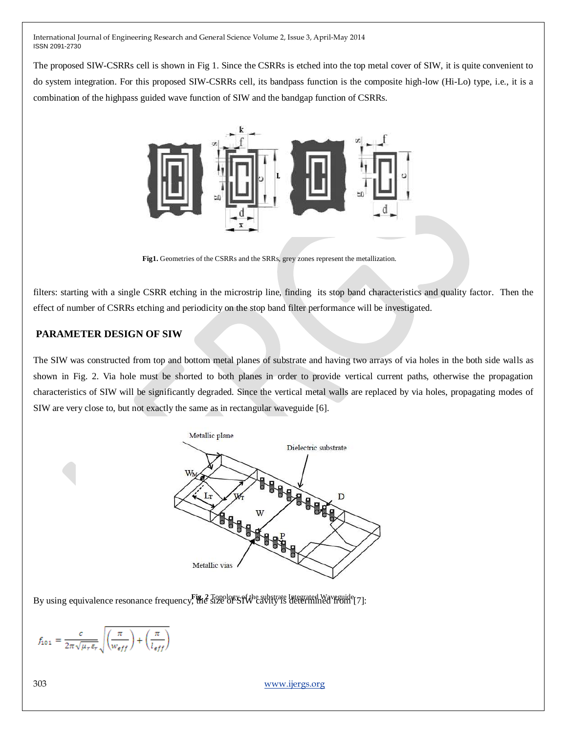The proposed SIW-CSRRs cell is shown in Fig 1. Since the CSRRs is etched into the top metal cover of SIW, it is quite convenient to do system integration. For this proposed SIW-CSRRs cell, its bandpass function is the composite high-low (Hi-Lo) type, i.e., it is a combination of the highpass guided wave function of SIW and the bandgap function of CSRRs.



**Fig1.** Geometries of the CSRRs and the SRRs, grey zones represent the metallization.

filters: starting with a single CSRR etching in the microstrip line, finding its stop band characteristics and quality factor. Then the effect of number of CSRRs etching and periodicity on the stop band filter performance will be investigated.

## **PARAMETER DESIGN OF SIW**

The SIW was constructed from top and bottom metal planes of substrate and having two arrays of via holes in the both side walls as shown in Fig. 2. Via hole must be shorted to both planes in order to provide vertical current paths, otherwise the propagation characteristics of SIW will be significantly degraded. Since the vertical metal walls are replaced by via holes, propagating modes of SIW are very close to, but not exactly the same as in rectangular waveguide [6].



By using equivalence resonance frequency, the size of SIW cavity is determined from [7]:

$$
f_{101}=\frac{c}{2\pi\sqrt{\mu_r\varepsilon_r}}\sqrt{\left(\frac{\pi}{w_{eff}}\right)+\left(\frac{\pi}{l_{eff}}\right)}
$$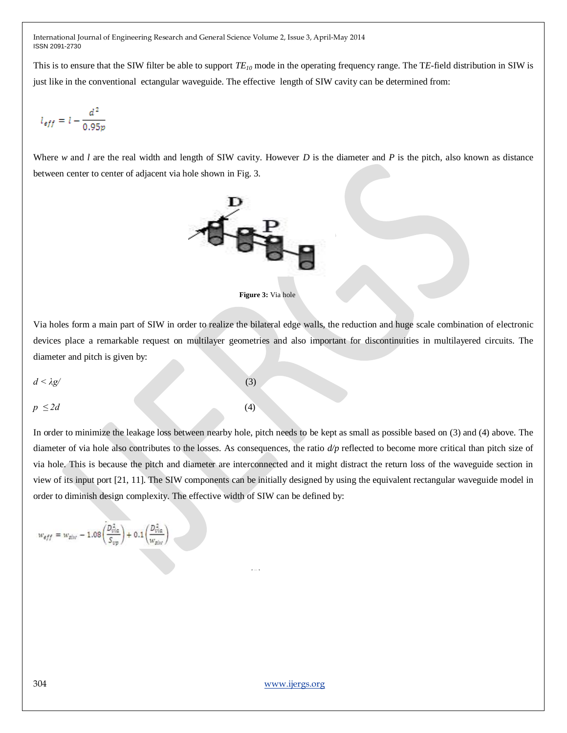This is to ensure that the SIW filter be able to support *TE<sup>10</sup>* mode in the operating frequency range. The T*E*-field distribution in SIW is just like in the conventional ectangular waveguide. The effective length of SIW cavity can be determined from:

$$
l_{eff}=l-\frac{d^2}{0.95p}
$$

Where *w* and *l* are the real width and length of SIW cavity. However *D* is the diameter and *P* is the pitch, also known as distance between center to center of adjacent via hole shown in Fig. 3.





Via holes form a main part of SIW in order to realize the bilateral edge walls, the reduction and huge scale combination of electronic devices place a remarkable request on multilayer geometries and also important for discontinuities in multilayered circuits. The diameter and pitch is given by:

$$
d < \lambda g' \tag{3}
$$

 $p \leq 2d$  (4)

In order to minimize the leakage loss between nearby hole, pitch needs to be kept as small as possible based on (3) and (4) above. The diameter of via hole also contributes to the losses. As consequences, the ratio *d/p* reflected to become more critical than pitch size of via hole. This is because the pitch and diameter are interconnected and it might distract the return loss of the waveguide section in view of its input port [21, 11]. The SIW components can be initially designed by using the equivalent rectangular waveguide model in order to diminish design complexity. The effective width of SIW can be defined by:

(5)

$$
w_{eff}=w_{siw}-1.08\left(\frac{D_{via}^2}{S_{vp}}\right)+0.1\left(\frac{D_{via}^2}{w_{siw}}\right)
$$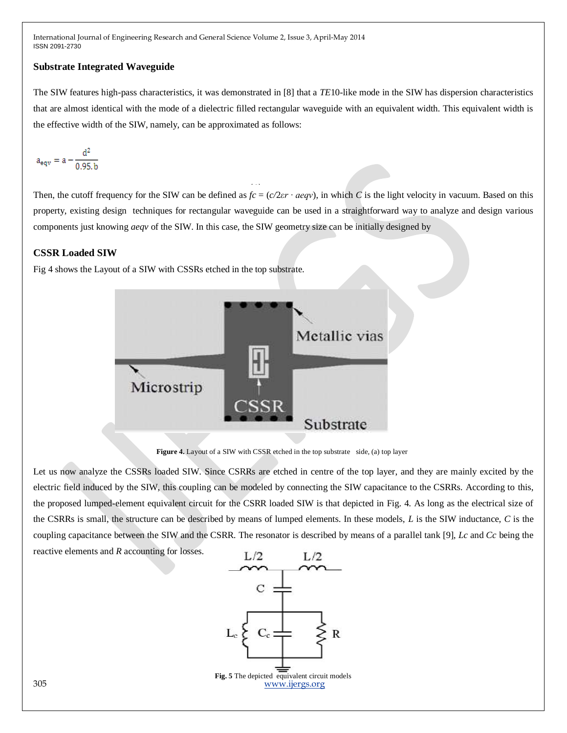## **Substrate Integrated Waveguide**

The SIW features high-pass characteristics, it was demonstrated in [8] that a *TE*10-like mode in the SIW has dispersion characteristics that are almost identical with the mode of a dielectric filled rectangular waveguide with an equivalent width. This equivalent width is the effective width of the SIW, namely, can be approximated as follows:

$$
a_{\text{eqv}} = a - \frac{d^2}{0.95.\,b}
$$

Then, the cutoff frequency for the SIW can be defined as  $fc = (c/2er \cdot aeqv)$ , in which *C* is the light velocity in vacuum. Based on this property, existing design techniques for rectangular waveguide can be used in a straightforward way to analyze and design various components just knowing *aeqv* of the SIW. In this case, the SIW geometry size can be initially designed by

## **CSSR Loaded SIW**

Fig 4 shows the Layout of a SIW with CSSRs etched in the top substrate.



**Figure 4.** Layout of a SIW with CSSR etched in the top substrate side, (a) top layer

Let us now analyze the CSSRs loaded SIW. Since CSRRs are etched in centre of the top layer, and they are mainly excited by the electric field induced by the SIW, this coupling can be modeled by connecting the SIW capacitance to the CSRRs. According to this, the proposed lumped-element equivalent circuit for the CSRR loaded SIW is that depicted in Fig. 4. As long as the electrical size of the CSRRs is small, the structure can be described by means of lumped elements. In these models, *L* is the SIW inductance, *C* is the coupling capacitance between the SIW and the CSRR. The resonator is described by means of a parallel tank [9], *Lc* and *Cc* being the reactive elements and *R* accounting for losses.

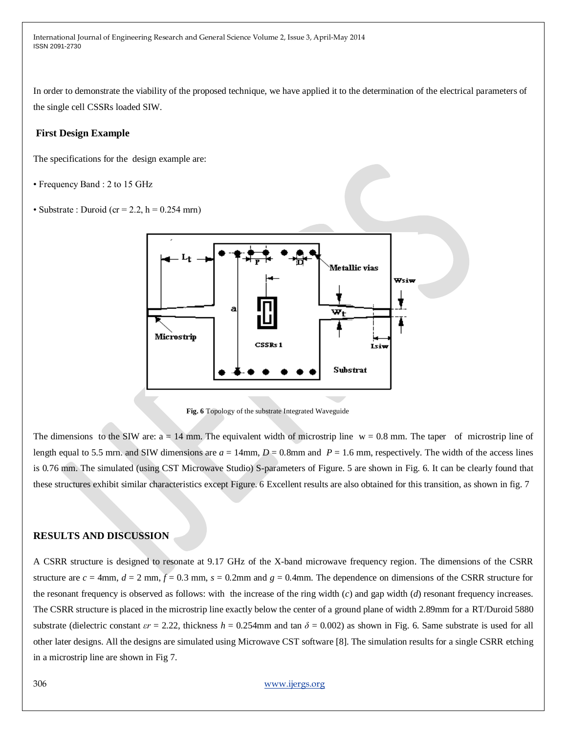In order to demonstrate the viability of the proposed technique, we have applied it to the determination of the electrical parameters of the single cell CSSRs loaded SIW.

## **First Design Example**

The specifications for the design example are:

- Frequency Band : 2 to 15 GHz
- Substrate : Duroid (cr = 2.2, h =  $0.254$  mrn)



**Fig. 6** Topology of the substrate Integrated Waveguide

The dimensions to the SIW are:  $a = 14$  mm. The equivalent width of microstrip line  $w = 0.8$  mm. The taper of microstrip line of length equal to 5.5 mm, and SIW dimensions are  $a = 14$ mm,  $D = 0.8$ mm and  $P = 1.6$  mm, respectively. The width of the access lines is 0*.*76 mm. The simulated (using CST Microwave Studio) S-parameters of Figure. 5 are shown in Fig. 6. It can be clearly found that these structures exhibit similar characteristics except Figure. 6 Excellent results are also obtained for this transition, as shown in fig. 7

#### **RESULTS AND DISCUSSION**

A CSRR structure is designed to resonate at 9.17 GHz of the X-band microwave frequency region. The dimensions of the CSRR structure are  $c = 4$ mm,  $d = 2$  mm,  $\bar{f} = 0.3$  mm,  $s = 0.2$ mm and  $g = 0.4$ mm. The dependence on dimensions of the CSRR structure for the resonant frequency is observed as follows: with the increase of the ring width (*c*) and gap width (*d*) resonant frequency increases. The CSRR structure is placed in the microstrip line exactly below the center of a ground plane of width 2.89mm for a RT/Duroid 5880 substrate (dielectric constant  $\epsilon r = 2.22$ , thickness  $h = 0.254$ mm and tan  $\delta = 0.002$ ) as shown in Fig. 6. Same substrate is used for all other later designs. All the designs are simulated using Microwave CST software [8]. The simulation results for a single CSRR etching in a microstrip line are shown in Fig 7.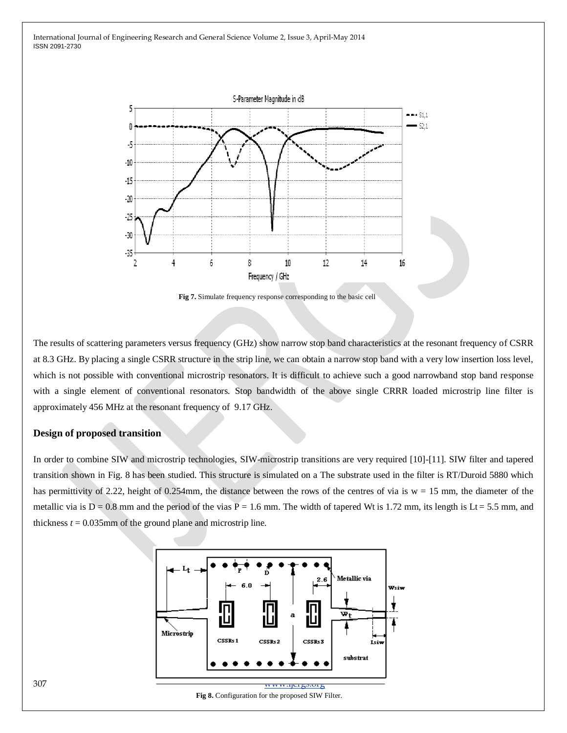

**Fig 7.** Simulate frequency response corresponding to the basic cell

The results of scattering parameters versus frequency (GHz) show narrow stop band characteristics at the resonant frequency of CSRR at 8.3 GHz. By placing a single CSRR structure in the strip line, we can obtain a narrow stop band with a very low insertion loss level, which is not possible with conventional microstrip resonators. It is difficult to achieve such a good narrowband stop band response with a single element of conventional resonators. Stop bandwidth of the above single CRRR loaded microstrip line filter is approximately 456 MHz at the resonant frequency of 9.17 GHz.

## **Design of proposed transition**

In order to combine SIW and microstrip technologies, SIW-microstrip transitions are very required [10]-[11]. SIW filter and tapered transition shown in Fig. 8 has been studied. This structure is simulated on a The substrate used in the filter is RT/Duroid 5880 which has permittivity of 2.22, height of 0.254mm, the distance between the rows of the centres of via is  $w = 15$  mm, the diameter of the metallic via is  $D = 0.8$  mm and the period of the vias  $\overline{P} = 1.6$  mm. The width of tapered Wt is 1.72 mm, its length is Lt = 5.5 mm, and thickness  $t = 0.035$ mm of the ground plane and microstrip line.



**Fig 8.** Configuration for the proposed SIW Filter.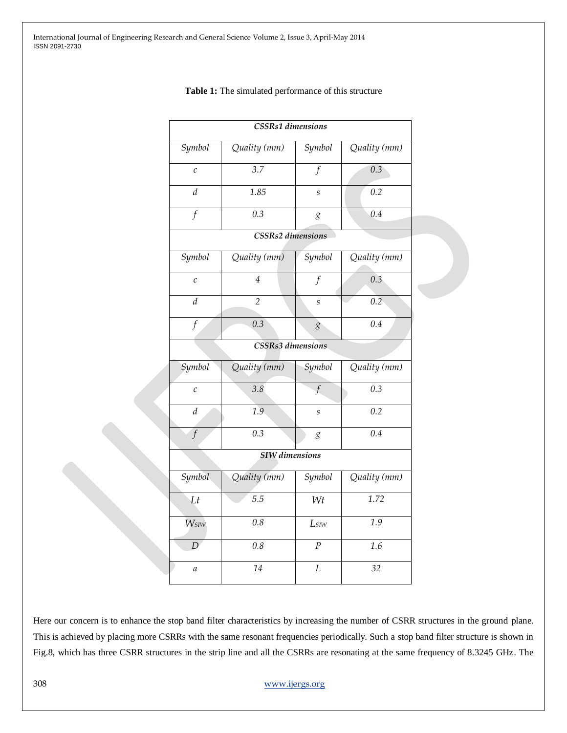|                       | <b>CSSRs1</b> dimensions |                             |              |
|-----------------------|--------------------------|-----------------------------|--------------|
| Symbol                | Quality (mm)             | Symbol                      | Quality (mm) |
| $\mathcal{C}_{0}$     | 3.7                      | $\mathbf f$                 | 0.3          |
| $\boldsymbol{d}$      | 1.85                     | $\boldsymbol{s}$            | 0.2          |
| $\overline{f}$        | $\overline{0.3}$         | g                           | 0.4          |
|                       | <b>CSSRs2</b> dimensions |                             |              |
| Symbol                | Quality (mm)             | Symbol                      | Quality (mm) |
| $\mathcal{C}_{0}$     | $\overline{4}$           | $\int$                      | 0.3          |
| $\boldsymbol{d}$      | $\overline{2}$           | $\mathcal{S}_{\mathcal{S}}$ | 0.2          |
| $\boldsymbol{f}$      | 0.3                      | g                           | 0.4          |
|                       | CSSRs3 dimensions        |                             |              |
| Symbol                | Quality (mm)             | Symbol                      | Quality (mm) |
| $\mathcal{C}_{0}^{2}$ | 3.8                      | $\mathbf{f}$                | 0.3          |
| $\boldsymbol{d}$      | 1.9                      | $\boldsymbol{S}$            | 0.2          |
| $\overline{f}$        | 0.3                      | g                           | 0.4          |
|                       | <b>SIW</b> dimensions    |                             |              |
| Symbol                | Quality (mm)             | Symbol                      | Quality (mm) |
| Lt                    | 5.5                      | Wt                          | 1.72         |
| Wsiw                  | 0.8                      | Lsiw                        | 1.9          |
| D                     | 0.8                      | $\overline{P}$              | 1.6          |
| $\mathfrak a$         | 14                       | $\overline{L}$              | 32           |

#### **Table 1:** The simulated performance of this structure

Here our concern is to enhance the stop band filter characteristics by increasing the number of CSRR structures in the ground plane. This is achieved by placing more CSRRs with the same resonant frequencies periodically. Such a stop band filter structure is shown in Fig.8, which has three CSRR structures in the strip line and all the CSRRs are resonating at the same frequency of 8.3245 GHz. The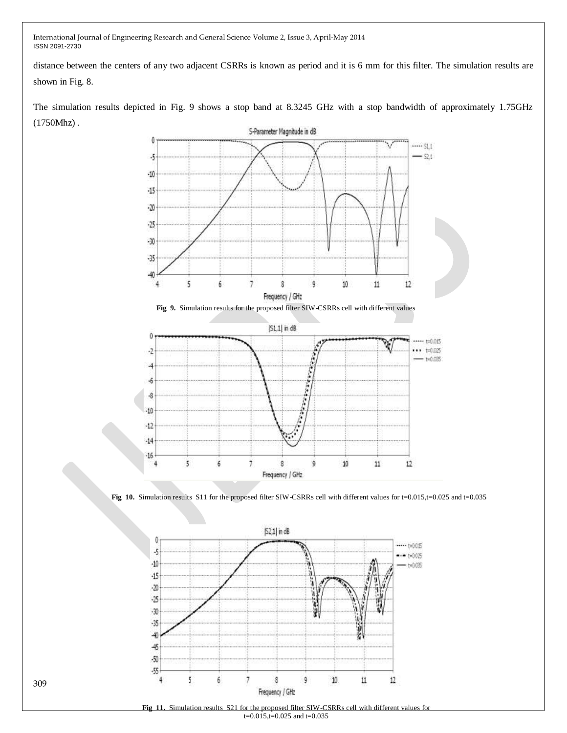distance between the centers of any two adjacent CSRRs is known as period and it is 6 mm for this filter. The simulation results are shown in Fig. 8.

The simulation results depicted in Fig. 9 shows a stop band at 8.3245 GHz with a stop bandwidth of approximately 1.75GHz (1750Mhz) .



**Fig 10.** Simulation results S11 for the proposed filter SIW-CSRRs cell with different values for t=0.015,t=0.025 and t=0.035

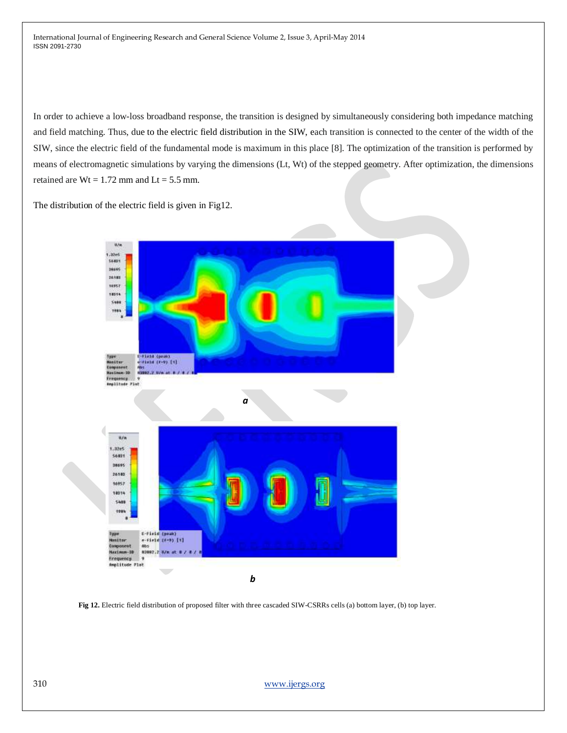In order to achieve a low-loss broadband response, the transition is designed by simultaneously considering both impedance matching and field matching. Thus, due to the electric field distribution in the SIW, each transition is connected to the center of the width of the SIW, since the electric field of the fundamental mode is maximum in this place [8]. The optimization of the transition is performed by means of electromagnetic simulations by varying the dimensions (Lt, Wt) of the stepped geometry. After optimization, the dimensions retained are  $Wt = 1.72$  mm and  $Lt = 5.5$  mm.

The distribution of the electric field is given in Fig12.



**Fig 12.** Electric field distribution of proposed filter with three cascaded SIW-CSRRs cells (a) bottom layer, (b) top layer.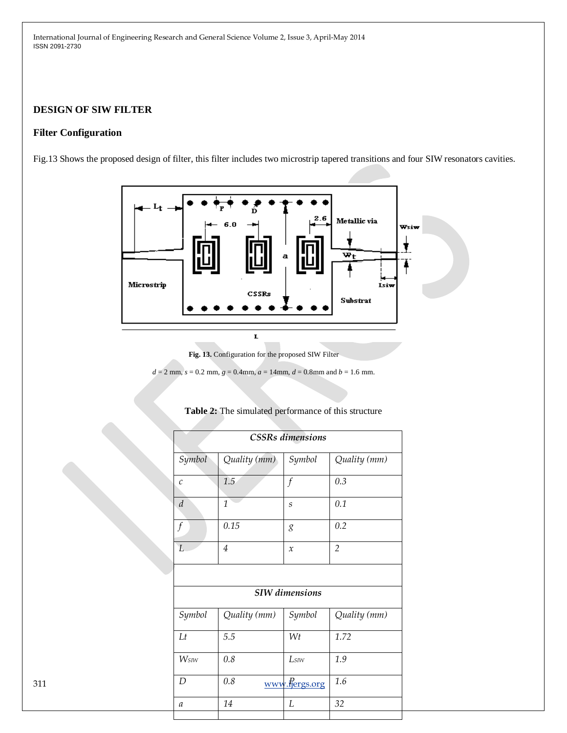# **DESIGN OF SIW FILTER**

## **Filter Configuration**

Fig.13 Shows the proposed design of filter, this filter includes two microstrip tapered transitions and four SIW resonators cavities.



**Fig. 13.** Configuration for the proposed SIW Filter

 $d = 2$  mm,  $s = 0.2$  mm,  $g = 0.4$ mm,  $a = 14$ mm,  $d = 0.8$ mm and  $b = 1.6$  mm.

| <b>CSSRs</b> dimensions |                |                     |                |  |
|-------------------------|----------------|---------------------|----------------|--|
| Symbol                  | Quality (mm)   | Symbol              | Quality (mm)   |  |
| $\mathcal{C}$           | 1.5            | $\int$              | 0.3            |  |
| $\boldsymbol{d}$        | $\mathbf{1}$   | $\boldsymbol{S}$    | 0.1            |  |
| $\int$                  | $0.15\,$       | 8                   | $0.2\,$        |  |
| $\overline{L}$          | $\overline{4}$ | $\boldsymbol{\chi}$ | $\overline{2}$ |  |
|                         |                |                     |                |  |
| <b>SIW</b> dimensions   |                |                     |                |  |
| Symbol                  | Quality (mm)   | Symbol              | Quality (mm)   |  |
| Lt                      | $5.5\,$        | $W\!t$              | 1.72           |  |
| Wsiw                    | $0.8\,$        | ${\it Ls}$          | $1.9\,$        |  |
| $\boldsymbol{D}$        | $0.8\,$        | www.fjergs.org      | $1.6\,$        |  |
|                         |                |                     |                |  |

## **Table 2:** The simulated performance of this structure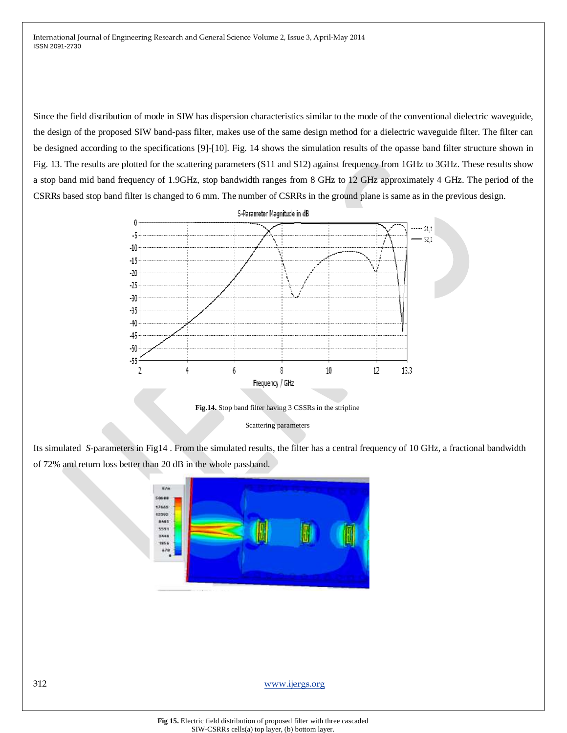Since the field distribution of mode in SIW has dispersion characteristics similar to the mode of the conventional dielectric waveguide, the design of the proposed SIW band-pass filter, makes use of the same design method for a dielectric waveguide filter. The filter can be designed according to the specifications [9]-[10]. Fig. 14 shows the simulation results of the opasse band filter structure shown in Fig. 13. The results are plotted for the scattering parameters (S11 and S12) against frequency from 1GHz to 3GHz. These results show a stop band mid band frequency of 1.9GHz, stop bandwidth ranges from 8 GHz to 12 GHz approximately 4 GHz. The period of the CSRRs based stop band filter is changed to 6 mm. The number of CSRRs in the ground plane is same as in the previous design.



Scattering parameters

Its simulated *S*-parameters in Fig14 . From the simulated results, the filter has a central frequency of 10 GHz, a fractional bandwidth of 72% and return loss better than 20 dB in the whole passband.

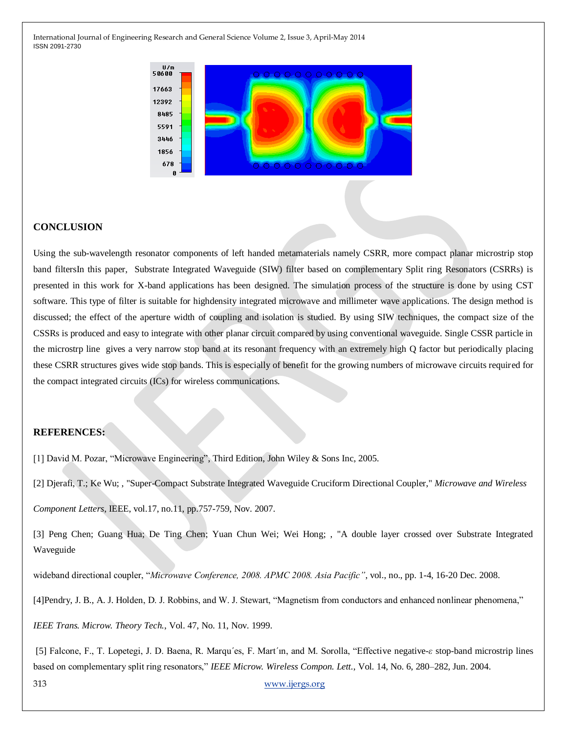

## **CONCLUSION**

Using the sub-wavelength resonator components of left handed metamaterials namely CSRR, more compact planar microstrip stop band filtersIn this paper, Substrate Integrated Waveguide (SIW) filter based on complementary Split ring Resonators (CSRRs) is presented in this work for X-band applications has been designed. The simulation process of the structure is done by using CST software. This type of filter is suitable for highdensity integrated microwave and millimeter wave applications. The design method is discussed; the effect of the aperture width of coupling and isolation is studied. By using SIW techniques, the compact size of the CSSRs is produced and easy to integrate with other planar circuit compared by using conventional waveguide. Single CSSR particle in the microstrp line gives a very narrow stop band at its resonant frequency with an extremely high Q factor but periodically placing these CSRR structures gives wide stop bands. This is especially of benefit for the growing numbers of microwave circuits required for the compact integrated circuits (ICs) for wireless communications.

#### **REFERENCES:**

[1] David M. Pozar, "Microwave Engineering", Third Edition, John Wiley & Sons Inc, 2005.

[2] Djerafi, T.; Ke Wu; , "Super-Compact Substrate Integrated Waveguide Cruciform Directional Coupler," *Microwave and Wireless*

*Component Letters*, IEEE, vol.17, no.11, pp.757-759, Nov. 2007.

[3] Peng Chen; Guang Hua; De Ting Chen; Yuan Chun Wei; Wei Hong; , "A double layer crossed over Substrate Integrated Waveguide

wideband directional coupler, "Microwave Conference, 2008. APMC 2008. Asia Pacific", vol., no., pp. 1-4, 16-20 Dec. 2008.

[4]Pendry, J. B., A. J. Holden, D. J. Robbins, and W. J. Stewart, "Magnetism from conductors and enhanced nonlinear phenomena,"

*IEEE Trans. Microw. Theory Tech.*, Vol. 47, No. 11, Nov. 1999.

[5] Falcone, F., T. Lopetegi, J. D. Baena, R. Marqu´es, F. Mart´ın, and M. Sorolla, ―Effective negative-*ε* stop-band microstrip lines based on complementary split ring resonators," IEEE Microw. Wireless Compon. Lett., Vol. 14, No. 6, 280–282, Jun. 2004.